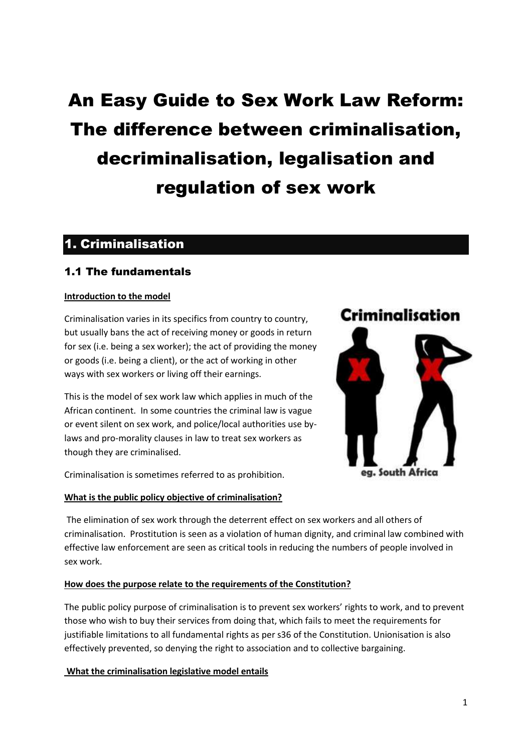# An Easy Guide to Sex Work Law Reform: The difference between criminalisation, decriminalisation, legalisation and regulation of sex work

## 1. Criminalisation

### 1.1 The fundamentals

#### **Introduction to the model**

Criminalisation varies in its specifics from country to country, but usually bans the act of receiving money or goods in return for sex (i.e. being a sex worker); the act of providing the money or goods (i.e. being a client), or the act of working in other ways with sex workers or living off their earnings.

This is the model of sex work law which applies in much of the African continent. In some countries the criminal law is vague or event silent on sex work, and police/local authorities use bylaws and pro-morality clauses in law to treat sex workers as though they are criminalised.

Criminalisation is sometimes referred to as prohibition.

#### **What is the public policy objective of criminalisation?**

## Criminalisation



The elimination of sex work through the deterrent effect on sex workers and all others of criminalisation. Prostitution is seen as a violation of human dignity, and criminal law combined with effective law enforcement are seen as critical tools in reducing the numbers of people involved in sex work.

#### **How does the purpose relate to the requirements of the Constitution?**

The public policy purpose of criminalisation is to prevent sex workers' rights to work, and to prevent those who wish to buy their services from doing that, which fails to meet the requirements for justifiable limitations to all fundamental rights as per s36 of the Constitution. Unionisation is also effectively prevented, so denying the right to association and to collective bargaining.

#### **What the criminalisation legislative model entails**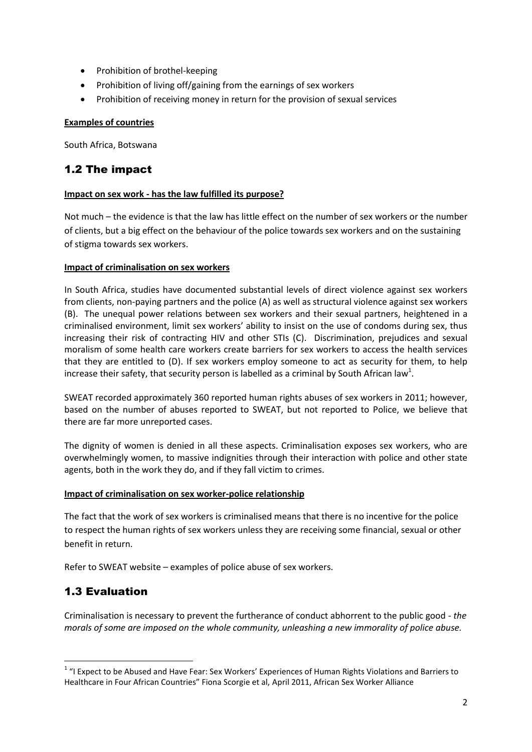- Prohibition of brothel-keeping
- Prohibition of living off/gaining from the earnings of sex workers
- Prohibition of receiving money in return for the provision of sexual services

#### **Examples of countries**

South Africa, Botswana

### 1.2 The impact

#### **Impact on sex work - has the law fulfilled its purpose?**

Not much – the evidence is that the law has little effect on the number of sex workers or the number of clients, but a big effect on the behaviour of the police towards sex workers and on the sustaining of stigma towards sex workers.

#### **Impact of criminalisation on sex workers**

In South Africa, studies have documented substantial levels of direct violence against sex workers from clients, non-paying partners and the police (A) as well as structural violence against sex workers (B). The unequal power relations between sex workers and their sexual partners, heightened in a criminalised environment, limit sex workers' ability to insist on the use of condoms during sex, thus increasing their risk of contracting HIV and other STIs (C). Discrimination, prejudices and sexual moralism of some health care workers create barriers for sex workers to access the health services that they are entitled to (D). If sex workers employ someone to act as security for them, to help increase their safety, that security person is labelled as a criminal by South African law<sup>1</sup>.

SWEAT recorded approximately 360 reported human rights abuses of sex workers in 2011; however, based on the number of abuses reported to SWEAT, but not reported to Police, we believe that there are far more unreported cases.

The dignity of women is denied in all these aspects. Criminalisation exposes sex workers, who are overwhelmingly women, to massive indignities through their interaction with police and other state agents, both in the work they do, and if they fall victim to crimes.

#### **Impact of criminalisation on sex worker-police relationship**

The fact that the work of sex workers is criminalised means that there is no incentive for the police to respect the human rights of sex workers unless they are receiving some financial, sexual or other benefit in return.

Refer to SWEAT website – examples of police abuse of sex workers.

## 1.3 Evaluation

**.** 

Criminalisation is necessary to prevent the furtherance of conduct abhorrent to the public good - *the morals of some are imposed on the whole community, unleashing a new immorality of police abuse.*

<sup>&</sup>lt;sup>1</sup> "I Expect to be Abused and Have Fear: Sex Workers' Experiences of Human Rights Violations and Barriers to Healthcare in Four African Countries" Fiona Scorgie et al, April 2011, African Sex Worker Alliance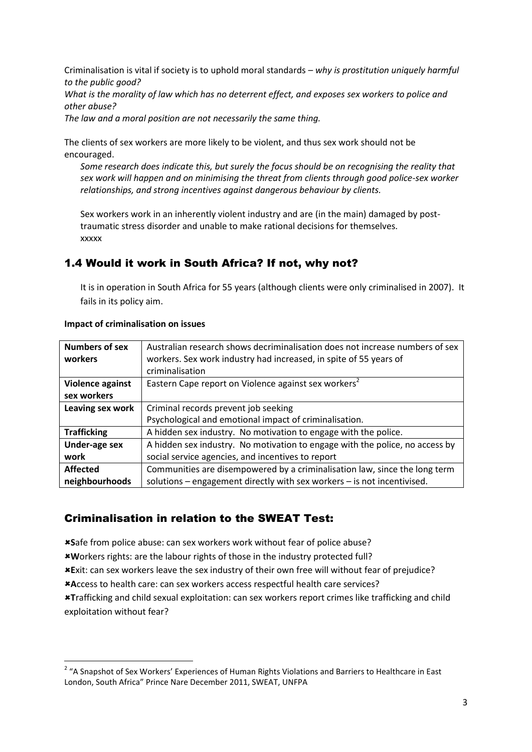Criminalisation is vital if society is to uphold moral standards – *why is prostitution uniquely harmful to the public good?* 

*What is the morality of law which has no deterrent effect, and exposes sex workers to police and other abuse?*

*The law and a moral position are not necessarily the same thing.*

The clients of sex workers are more likely to be violent, and thus sex work should not be encouraged.

*Some research does indicate this, but surely the focus should be on recognising the reality that sex work will happen and on minimising the threat from clients through good police-sex worker relationships, and strong incentives against dangerous behaviour by clients.*

Sex workers work in an inherently violent industry and are (in the main) damaged by posttraumatic stress disorder and unable to make rational decisions for themselves. xxxxx

### 1.4 Would it work in South Africa? If not, why not?

It is in operation in South Africa for 55 years (although clients were only criminalised in 2007). It fails in its policy aim.

| <b>Numbers of sex</b> | Australian research shows decriminalisation does not increase numbers of sex |
|-----------------------|------------------------------------------------------------------------------|
| workers               | workers. Sex work industry had increased, in spite of 55 years of            |
|                       | criminalisation                                                              |
| Violence against      | Eastern Cape report on Violence against sex workers <sup>2</sup>             |
| sex workers           |                                                                              |
| Leaving sex work      | Criminal records prevent job seeking                                         |
|                       | Psychological and emotional impact of criminalisation.                       |
| <b>Trafficking</b>    | A hidden sex industry. No motivation to engage with the police.              |
| Under-age sex         | A hidden sex industry. No motivation to engage with the police, no access by |
| work                  | social service agencies, and incentives to report                            |
| <b>Affected</b>       | Communities are disempowered by a criminalisation law, since the long term   |
| neighbourhoods        | solutions - engagement directly with sex workers - is not incentivised.      |

#### **Impact of criminalisation on issues**

#### Criminalisation in relation to the SWEAT Test:

**S**afe from police abuse: can sex workers work without fear of police abuse? **W**orkers rights: are the labour rights of those in the industry protected full? **E**xit: can sex workers leave the sex industry of their own free will without fear of prejudice? **A**ccess to health care: can sex workers access respectful health care services? **T**rafficking and child sexual exploitation: can sex workers report crimes like trafficking and child exploitation without fear?

 2 "A Snapshot of Sex Workers' Experiences of Human Rights Violations and Barriers to Healthcare in East London, South Africa" Prince Nare December 2011, SWEAT, UNFPA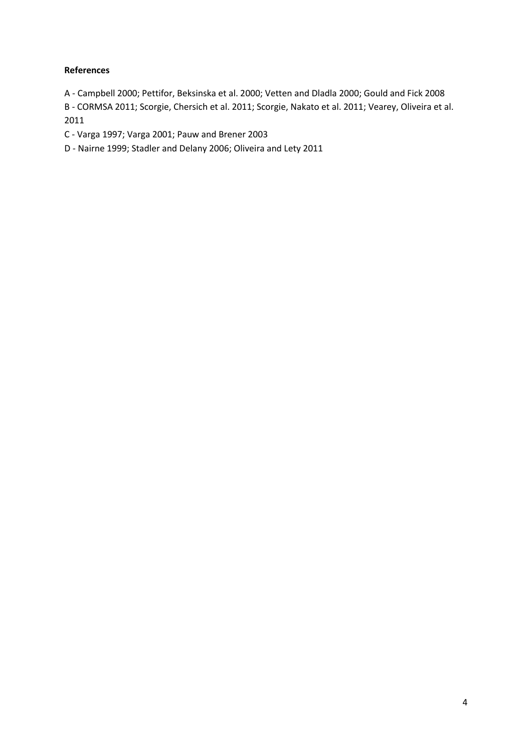#### **References**

A - Campbell 2000; Pettifor, Beksinska et al. 2000; Vetten and Dladla 2000; Gould and Fick 2008

B - CORMSA 2011; Scorgie, Chersich et al. 2011; Scorgie, Nakato et al. 2011; Vearey, Oliveira et al. 2011

C - Varga 1997; Varga 2001; Pauw and Brener 2003

D - Nairne 1999; Stadler and Delany 2006; Oliveira and Lety 2011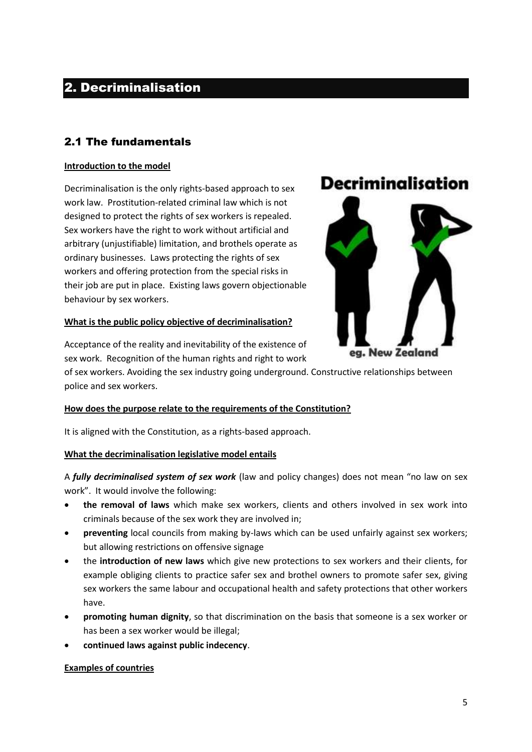## 2. Decriminalisation

## 2.1 The fundamentals

#### **Introduction to the model**

Decriminalisation is the only rights-based approach to sex work law. Prostitution-related criminal law which is not designed to protect the rights of sex workers is repealed. Sex workers have the right to work without artificial and arbitrary (unjustifiable) limitation, and brothels operate as ordinary businesses. Laws protecting the rights of sex workers and offering protection from the special risks in their job are put in place. Existing laws govern objectionable behaviour by sex workers.

#### **What is the public policy objective of decriminalisation?**

## **Decriminalisation**



Acceptance of the reality and inevitability of the existence of sex work. Recognition of the human rights and right to work

of sex workers. Avoiding the sex industry going underground. Constructive relationships between police and sex workers.

#### **How does the purpose relate to the requirements of the Constitution?**

It is aligned with the Constitution, as a rights-based approach.

#### **What the decriminalisation legislative model entails**

A *fully decriminalised system of sex work* (law and policy changes) does not mean "no law on sex work". It would involve the following:

- **the removal of laws** which make sex workers, clients and others involved in sex work into criminals because of the sex work they are involved in;
- **preventing** local councils from making by-laws which can be used unfairly against sex workers; but allowing restrictions on offensive signage
- the **introduction of new laws** which give new protections to sex workers and their clients, for example obliging clients to practice safer sex and brothel owners to promote safer sex, giving sex workers the same labour and occupational health and safety protections that other workers have.
- **promoting human dignity**, so that discrimination on the basis that someone is a sex worker or has been a sex worker would be illegal;
- **continued laws against public indecency**.

#### **Examples of countries**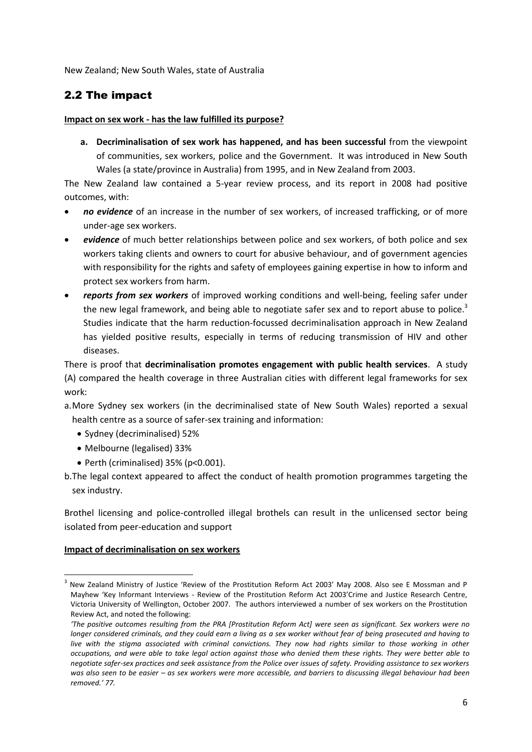New Zealand; New South Wales, state of Australia

### 2.2 The impact

#### **Impact on sex work - has the law fulfilled its purpose?**

**a. Decriminalisation of sex work has happened, and has been successful** from the viewpoint of communities, sex workers, police and the Government. It was introduced in New South Wales (a state/province in Australia) from 1995, and in New Zealand from 2003.

The New Zealand law contained a 5-year review process, and its report in 2008 had positive outcomes, with:

- *no evidence* of an increase in the number of sex workers, of increased trafficking, or of more under-age sex workers.
- *evidence* of much better relationships between police and sex workers, of both police and sex workers taking clients and owners to court for abusive behaviour, and of government agencies with responsibility for the rights and safety of employees gaining expertise in how to inform and protect sex workers from harm.
- *reports from sex workers* of improved working conditions and well-being, feeling safer under the new legal framework, and being able to negotiate safer sex and to report abuse to police.<sup>3</sup> Studies indicate that the harm reduction-focussed decriminalisation approach in New Zealand has yielded positive results, especially in terms of reducing transmission of HIV and other diseases.

There is proof that **decriminalisation promotes engagement with public health services**. A study (A) compared the health coverage in three Australian cities with different legal frameworks for sex work:

- a.More Sydney sex workers (in the decriminalised state of New South Wales) reported a sexual health centre as a source of safer-sex training and information:
	- Sydney (decriminalised) 52%
	- Melbourne (legalised) 33%
	- Perth (criminalised) 35% (p<0.001).
- b.The legal context appeared to affect the conduct of health promotion programmes targeting the sex industry.

Brothel licensing and police-controlled illegal brothels can result in the unlicensed sector being isolated from peer-education and support

#### **Impact of decriminalisation on sex workers**

**.** 

<sup>3</sup> New Zealand Ministry of Justice 'Review of the Prostitution Reform Act 2003' May 2008. Also see E Mossman and P Mayhew 'Key Informant Interviews - Review of the Prostitution Reform Act 2003'Crime and Justice Research Centre, Victoria University of Wellington, October 2007. The authors interviewed a number of sex workers on the Prostitution Review Act, and noted the following:

*<sup>&#</sup>x27;The positive outcomes resulting from the PRA [Prostitution Reform Act] were seen as significant. Sex workers were no longer considered criminals, and they could earn a living as a sex worker without fear of being prosecuted and having to live with the stigma associated with criminal convictions. They now had rights similar to those working in other occupations, and were able to take legal action against those who denied them these rights. They were better able to negotiate safer-sex practices and seek assistance from the Police over issues of safety. Providing assistance to sex workers was also seen to be easier – as sex workers were more accessible, and barriers to discussing illegal behaviour had been removed.' 77.*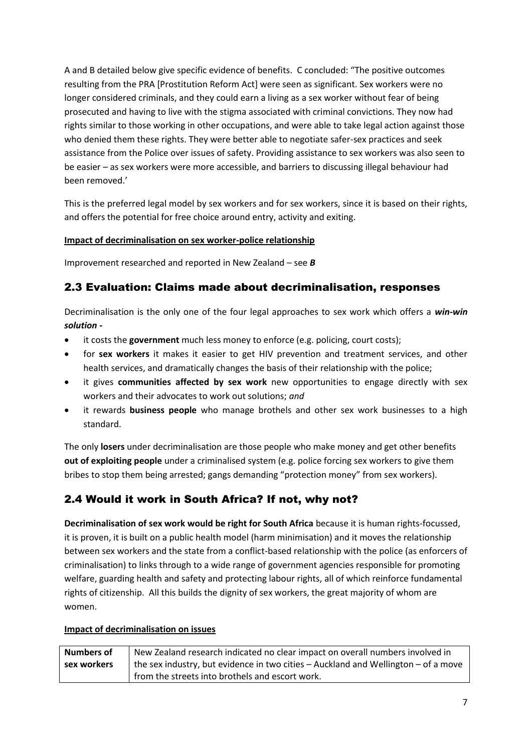A and B detailed below give specific evidence of benefits. C concluded: "The positive outcomes resulting from the PRA [Prostitution Reform Act] were seen as significant. Sex workers were no longer considered criminals, and they could earn a living as a sex worker without fear of being prosecuted and having to live with the stigma associated with criminal convictions. They now had rights similar to those working in other occupations, and were able to take legal action against those who denied them these rights. They were better able to negotiate safer-sex practices and seek assistance from the Police over issues of safety. Providing assistance to sex workers was also seen to be easier – as sex workers were more accessible, and barriers to discussing illegal behaviour had been removed.'

This is the preferred legal model by sex workers and for sex workers, since it is based on their rights, and offers the potential for free choice around entry, activity and exiting.

#### **Impact of decriminalisation on sex worker-police relationship**

Improvement researched and reported in New Zealand – see *B*

### 2.3 Evaluation: Claims made about decriminalisation, responses

Decriminalisation is the only one of the four legal approaches to sex work which offers a *win-win solution -*

- it costs the **government** much less money to enforce (e.g. policing, court costs);
- for **sex workers** it makes it easier to get HIV prevention and treatment services, and other health services, and dramatically changes the basis of their relationship with the police;
- it gives **communities affected by sex work** new opportunities to engage directly with sex workers and their advocates to work out solutions; *and*
- it rewards **business people** who manage brothels and other sex work businesses to a high standard.

The only **losers** under decriminalisation are those people who make money and get other benefits **out of exploiting people** under a criminalised system (e.g. police forcing sex workers to give them bribes to stop them being arrested; gangs demanding "protection money" from sex workers).

## 2.4 Would it work in South Africa? If not, why not?

**Decriminalisation of sex work would be right for South Africa** because it is human rights-focussed, it is proven, it is built on a public health model (harm minimisation) and it moves the relationship between sex workers and the state from a conflict-based relationship with the police (as enforcers of criminalisation) to links through to a wide range of government agencies responsible for promoting welfare, guarding health and safety and protecting labour rights, all of which reinforce fundamental rights of citizenship. All this builds the dignity of sex workers, the great majority of whom are women.

#### **Impact of decriminalisation on issues**

| <b>Numbers of</b> | New Zealand research indicated no clear impact on overall numbers involved in      |
|-------------------|------------------------------------------------------------------------------------|
| sex workers       | the sex industry, but evidence in two cities – Auckland and Wellington – of a move |
|                   | I from the streets into brothels and escort work.                                  |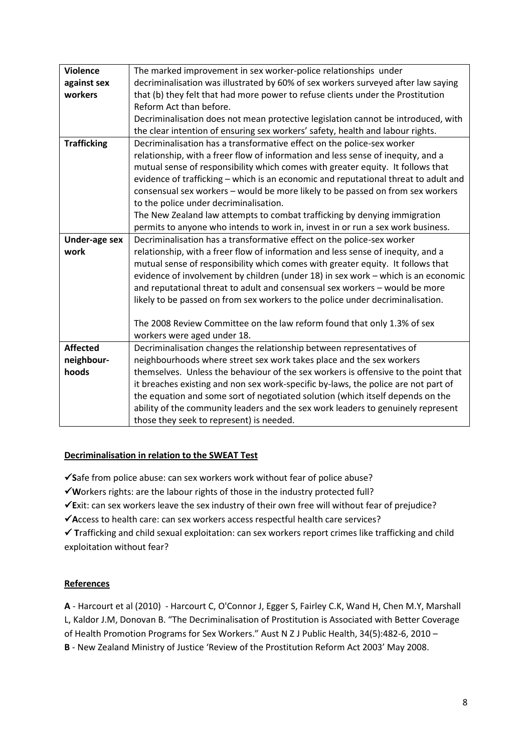| <b>Violence</b>      | The marked improvement in sex worker-police relationships under                     |
|----------------------|-------------------------------------------------------------------------------------|
| against sex          | decriminalisation was illustrated by 60% of sex workers surveyed after law saying   |
| workers              | that (b) they felt that had more power to refuse clients under the Prostitution     |
|                      | Reform Act than before.                                                             |
|                      | Decriminalisation does not mean protective legislation cannot be introduced, with   |
|                      | the clear intention of ensuring sex workers' safety, health and labour rights.      |
| <b>Trafficking</b>   | Decriminalisation has a transformative effect on the police-sex worker              |
|                      | relationship, with a freer flow of information and less sense of inequity, and a    |
|                      | mutual sense of responsibility which comes with greater equity. It follows that     |
|                      | evidence of trafficking - which is an economic and reputational threat to adult and |
|                      | consensual sex workers - would be more likely to be passed on from sex workers      |
|                      | to the police under decriminalisation.                                              |
|                      | The New Zealand law attempts to combat trafficking by denying immigration           |
|                      | permits to anyone who intends to work in, invest in or run a sex work business.     |
| <b>Under-age sex</b> | Decriminalisation has a transformative effect on the police-sex worker              |
| work                 | relationship, with a freer flow of information and less sense of inequity, and a    |
|                      | mutual sense of responsibility which comes with greater equity. It follows that     |
|                      | evidence of involvement by children (under 18) in sex work - which is an economic   |
|                      | and reputational threat to adult and consensual sex workers - would be more         |
|                      | likely to be passed on from sex workers to the police under decriminalisation.      |
|                      |                                                                                     |
|                      | The 2008 Review Committee on the law reform found that only 1.3% of sex             |
|                      | workers were aged under 18.                                                         |
| <b>Affected</b>      | Decriminalisation changes the relationship between representatives of               |
| neighbour-           | neighbourhoods where street sex work takes place and the sex workers                |
| hoods                | themselves. Unless the behaviour of the sex workers is offensive to the point that  |
|                      | it breaches existing and non sex work-specific by-laws, the police are not part of  |
|                      | the equation and some sort of negotiated solution (which itself depends on the      |
|                      | ability of the community leaders and the sex work leaders to genuinely represent    |
|                      | those they seek to represent) is needed.                                            |
|                      |                                                                                     |

#### **Decriminalisation in relation to the SWEAT Test**

**S**afe from police abuse: can sex workers work without fear of police abuse?

- **W**orkers rights: are the labour rights of those in the industry protected full?
- **E**xit: can sex workers leave the sex industry of their own free will without fear of prejudice?
- **A**ccess to health care: can sex workers access respectful health care services?

 **T**rafficking and child sexual exploitation: can sex workers report crimes like trafficking and child exploitation without fear?

#### **References**

**A** - Harcourt et al (2010) - Harcourt C, O'Connor J, Egger S, Fairley C.K, Wand H, Chen M.Y, Marshall L, Kaldor J.M, Donovan B. "The Decriminalisation of Prostitution is Associated with Better Coverage of Health Promotion Programs for Sex Workers." Aust N Z J Public Health, 34(5):482-6, 2010 –

**B** - New Zealand Ministry of Justice 'Review of the Prostitution Reform Act 2003' May 2008.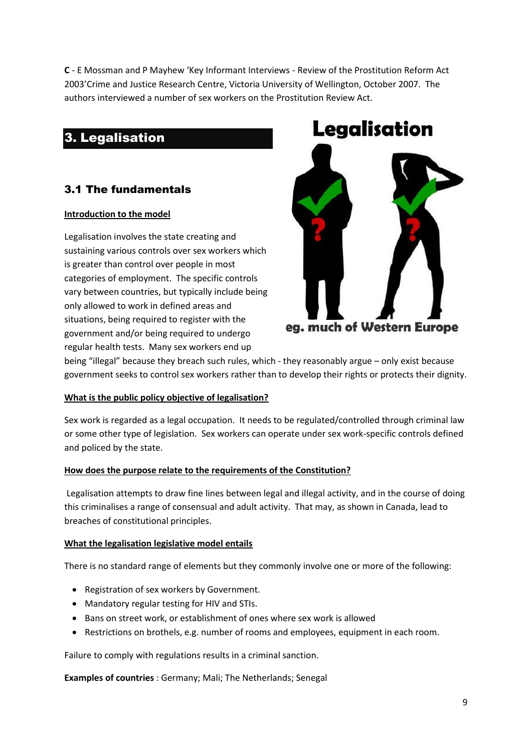**C** - E Mossman and P Mayhew 'Key Informant Interviews - Review of the Prostitution Reform Act 2003'Crime and Justice Research Centre, Victoria University of Wellington, October 2007. The authors interviewed a number of sex workers on the Prostitution Review Act.

## 3. Legalisation

## 3.1 The fundamentals

#### **Introduction to the model**

Legalisation involves the state creating and sustaining various controls over sex workers which is greater than control over people in most categories of employment. The specific controls vary between countries, but typically include being only allowed to work in defined areas and situations, being required to register with the government and/or being required to undergo regular health tests. Many sex workers end up



eg. much of Western Europe

being "illegal" because they breach such rules, which - they reasonably argue – only exist because government seeks to control sex workers rather than to develop their rights or protects their dignity.

#### **What is the public policy objective of legalisation?**

Sex work is regarded as a legal occupation. It needs to be regulated/controlled through criminal law or some other type of legislation. Sex workers can operate under sex work-specific controls defined and policed by the state.

#### **How does the purpose relate to the requirements of the Constitution?**

Legalisation attempts to draw fine lines between legal and illegal activity, and in the course of doing this criminalises a range of consensual and adult activity. That may, as shown in Canada, lead to breaches of constitutional principles.

#### **What the legalisation legislative model entails**

There is no standard range of elements but they commonly involve one or more of the following:

- Registration of sex workers by Government.
- Mandatory regular testing for HIV and STIs.
- Bans on street work, or establishment of ones where sex work is allowed
- Restrictions on brothels, e.g. number of rooms and employees, equipment in each room.

Failure to comply with regulations results in a criminal sanction.

**Examples of countries** : Germany; Mali; The Netherlands; Senegal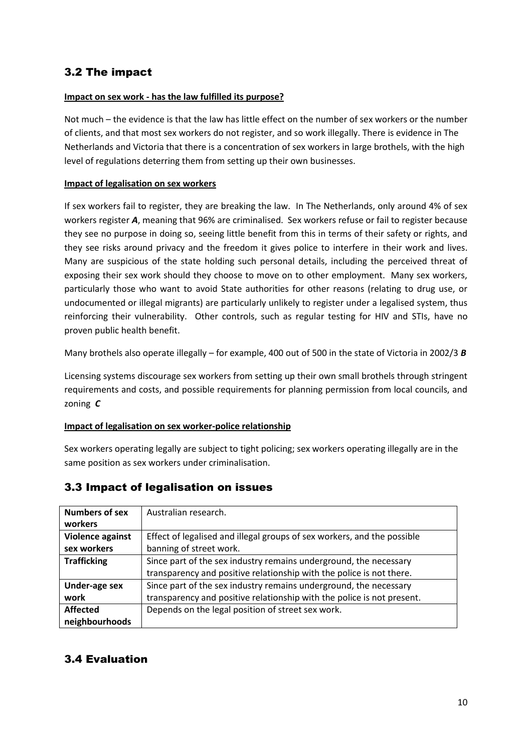## 3.2 The impact

#### **Impact on sex work - has the law fulfilled its purpose?**

Not much – the evidence is that the law has little effect on the number of sex workers or the number of clients, and that most sex workers do not register, and so work illegally. There is evidence in The Netherlands and Victoria that there is a concentration of sex workers in large brothels, with the high level of regulations deterring them from setting up their own businesses.

#### **Impact of legalisation on sex workers**

If sex workers fail to register, they are breaking the law. In The Netherlands, only around 4% of sex workers register *A*, meaning that 96% are criminalised. Sex workers refuse or fail to register because they see no purpose in doing so, seeing little benefit from this in terms of their safety or rights, and they see risks around privacy and the freedom it gives police to interfere in their work and lives. Many are suspicious of the state holding such personal details, including the perceived threat of exposing their sex work should they choose to move on to other employment. Many sex workers, particularly those who want to avoid State authorities for other reasons (relating to drug use, or undocumented or illegal migrants) are particularly unlikely to register under a legalised system, thus reinforcing their vulnerability. Other controls, such as regular testing for HIV and STIs, have no proven public health benefit.

Many brothels also operate illegally – for example, 400 out of 500 in the state of Victoria in 2002/3 *B*

Licensing systems discourage sex workers from setting up their own small brothels through stringent requirements and costs, and possible requirements for planning permission from local councils, and zoning *C*

#### **Impact of legalisation on sex worker-police relationship**

Sex workers operating legally are subject to tight policing; sex workers operating illegally are in the same position as sex workers under criminalisation.

| <b>Numbers of sex</b> | Australian research.                                                    |
|-----------------------|-------------------------------------------------------------------------|
| workers               |                                                                         |
| Violence against      | Effect of legalised and illegal groups of sex workers, and the possible |
| sex workers           | banning of street work.                                                 |
| <b>Trafficking</b>    | Since part of the sex industry remains underground, the necessary       |
|                       | transparency and positive relationship with the police is not there.    |
| Under-age sex         | Since part of the sex industry remains underground, the necessary       |
| work                  | transparency and positive relationship with the police is not present.  |
| <b>Affected</b>       | Depends on the legal position of street sex work.                       |
| neighbourhoods        |                                                                         |

#### 3.3 Impact of legalisation on issues

### 3.4 Evaluation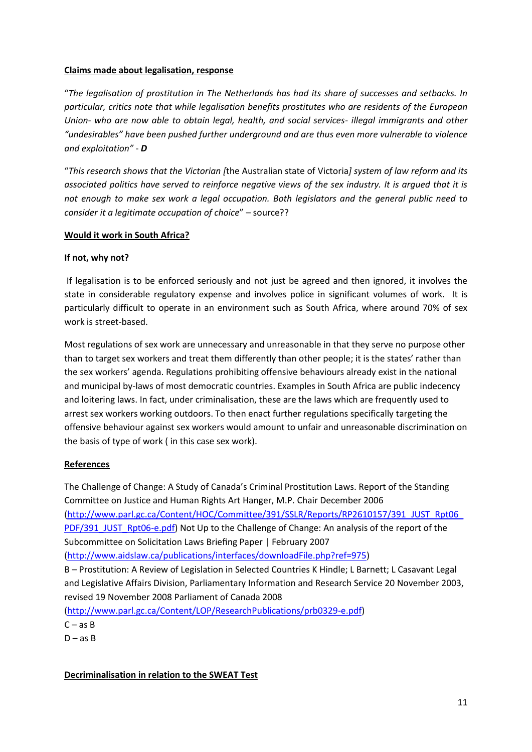#### **Claims made about legalisation, response**

"*The legalisation of prostitution in The Netherlands has had its share of successes and setbacks. In particular, critics note that while legalisation benefits prostitutes who are residents of the European Union- who are now able to obtain legal, health, and social services- illegal immigrants and other "undesirables" have been pushed further underground and are thus even more vulnerable to violence and exploitation"* - *D*

"*This research shows that the Victorian [*the Australian state of Victoria*] system of law reform and its associated politics have served to reinforce negative views of the sex industry. It is argued that it is not enough to make sex work a legal occupation. Both legislators and the general public need to consider it a legitimate occupation of choice*" – source??

#### **Would it work in South Africa?**

#### **If not, why not?**

If legalisation is to be enforced seriously and not just be agreed and then ignored, it involves the state in considerable regulatory expense and involves police in significant volumes of work. It is particularly difficult to operate in an environment such as South Africa, where around 70% of sex work is street-based.

Most regulations of sex work are unnecessary and unreasonable in that they serve no purpose other than to target sex workers and treat them differently than other people; it is the states' rather than the sex workers' agenda. Regulations prohibiting offensive behaviours already exist in the national and municipal by-laws of most democratic countries. Examples in South Africa are public indecency and loitering laws. In fact, under criminalisation, these are the laws which are frequently used to arrest sex workers working outdoors. To then enact further regulations specifically targeting the offensive behaviour against sex workers would amount to unfair and unreasonable discrimination on the basis of type of work ( in this case sex work).

#### **References**

The Challenge of Change: A Study of Canada's Criminal Prostitution Laws. Report of the Standing Committee on Justice and Human Rights Art Hanger, M.P. Chair December 2006 [\(http://www.parl.gc.ca/Content/HOC/Committee/391/SSLR/Reports/RP2610157/391\\_JUST\\_Rpt06\\_](http://www.parl.gc.ca/Content/HOC/Committee/391/SSLR/Reports/RP2610157/391_JUST_Rpt06_PDF/391_JUST_Rpt06-e.pdf) [PDF/391\\_JUST\\_Rpt06-e.pdf\)](http://www.parl.gc.ca/Content/HOC/Committee/391/SSLR/Reports/RP2610157/391_JUST_Rpt06_PDF/391_JUST_Rpt06-e.pdf) Not Up to the Challenge of Change: An analysis of the report of the Subcommittee on Solicitation Laws Briefing Paper | February 2007 [\(http://www.aidslaw.ca/publications/interfaces/downloadFile.php?ref=975\)](http://www.aidslaw.ca/publications/interfaces/downloadFile.php?ref=975)

B – Prostitution: A Review of Legislation in Selected Countries K Hindle; L Barnett; L Casavant Legal and Legislative Affairs Division, Parliamentary Information and Research Service 20 November 2003, revised 19 November 2008 Parliament of Canada 2008

[\(http://www.parl.gc.ca/Content/LOP/ResearchPublications/prb0329-e.pdf\)](http://www.parl.gc.ca/Content/LOP/ResearchPublications/prb0329-e.pdf)

 $C - as B$ 

 $D - as B$ 

**Decriminalisation in relation to the SWEAT Test**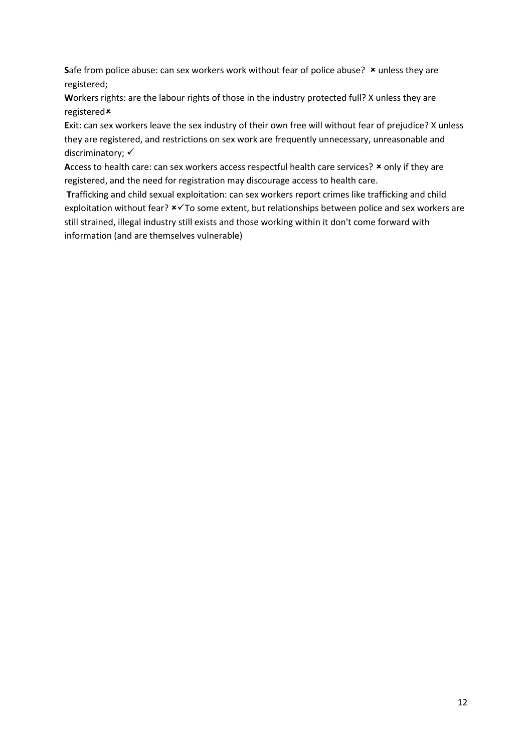Safe from police abuse: can sex workers work without fear of police abuse? **\*** unless they are registered;

**W**orkers rights: are the labour rights of those in the industry protected full? X unless they are registered

**E**xit: can sex workers leave the sex industry of their own free will without fear of prejudice? X unless they are registered, and restrictions on sex work are frequently unnecessary, unreasonable and discriminatory:  $\checkmark$ 

Access to health care: can sex workers access respectful health care services? **\*** only if they are registered, and the need for registration may discourage access to health care.

**T**rafficking and child sexual exploitation: can sex workers report crimes like trafficking and child exploitation without fear?  $\star\checkmark$  To some extent, but relationships between police and sex workers are still strained, illegal industry still exists and those working within it don't come forward with information (and are themselves vulnerable)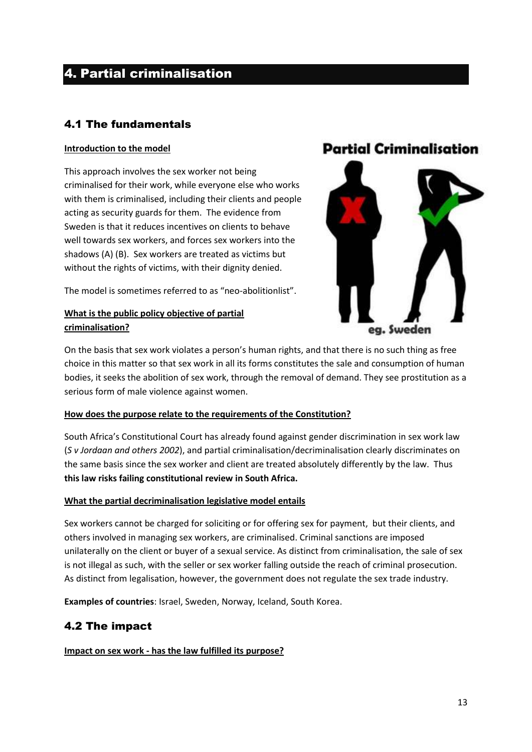## 4. Partial criminalisation

## 4.1 The fundamentals

#### **Introduction to the model**

This approach involves the sex worker not being criminalised for their work, while everyone else who works with them is criminalised, including their clients and people acting as security guards for them. The evidence from Sweden is that it reduces incentives on clients to behave well towards sex workers, and forces sex workers into the shadows (A) (B). Sex workers are treated as victims but without the rights of victims, with their dignity denied.

The model is sometimes referred to as "neo-abolitionlist".

### **What is the public policy objective of partial criminalisation?**

## **Partial Criminalisation**



On the basis that sex work violates a person's human rights, and that there is no such thing as free choice in this matter so that sex work in all its forms constitutes the sale and consumption of human bodies, it seeks the abolition of sex work, through the removal of demand. They see prostitution as a serious form of male violence against women.

#### **How does the purpose relate to the requirements of the Constitution?**

South Africa's Constitutional Court has already found against gender discrimination in sex work law (*S v Jordaan and others 2002*), and partial criminalisation/decriminalisation clearly discriminates on the same basis since the sex worker and client are treated absolutely differently by the law. Thus **this law risks failing constitutional review in South Africa.**

#### **What the partial decriminalisation legislative model entails**

Sex workers cannot be charged for soliciting or for offering sex for payment, but their clients, and others involved in managing sex workers, are criminalised. Criminal sanctions are imposed unilaterally on the client or buyer of a sexual service. As distinct from criminalisation, the sale of sex is not illegal as such, with the seller or sex worker falling outside the reach of criminal prosecution. As distinct from legalisation, however, the government does not regulate the sex trade industry.

**Examples of countries**: Israel, Sweden, Norway, Iceland, South Korea.

## 4.2 The impact

**Impact on sex work - has the law fulfilled its purpose?**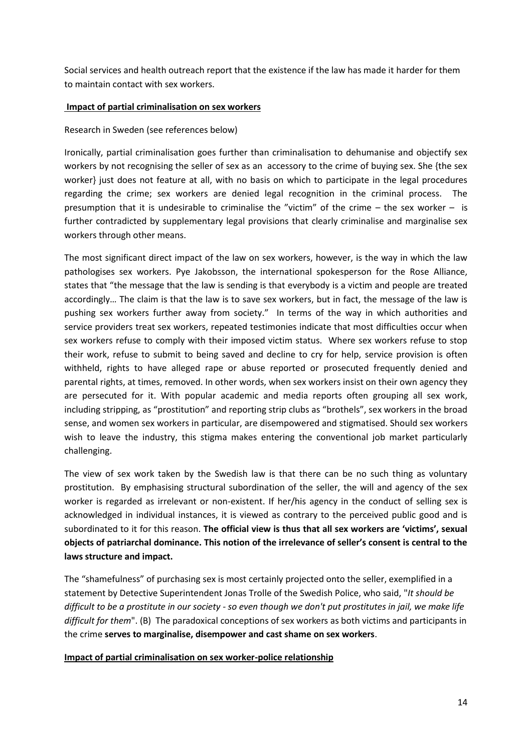Social services and health outreach report that the existence if the law has made it harder for them to maintain contact with sex workers.

#### **Impact of partial criminalisation on sex workers**

#### Research in Sweden (see references below)

Ironically, partial criminalisation goes further than criminalisation to dehumanise and objectify sex workers by not recognising the seller of sex as an accessory to the crime of buying sex. She {the sex worker} just does not feature at all, with no basis on which to participate in the legal procedures regarding the crime; sex workers are denied legal recognition in the criminal process. The presumption that it is undesirable to criminalise the "victim" of the crime – the sex worker – is further contradicted by supplementary legal provisions that clearly criminalise and marginalise sex workers through other means.

The most significant direct impact of the law on sex workers, however, is the way in which the law pathologises sex workers. Pye Jakobsson, the international spokesperson for the Rose Alliance, states that "the message that the law is sending is that everybody is a victim and people are treated accordingly… The claim is that the law is to save sex workers, but in fact, the message of the law is pushing sex workers further away from society." In terms of the way in which authorities and service providers treat sex workers, repeated testimonies indicate that most difficulties occur when sex workers refuse to comply with their imposed victim status. Where sex workers refuse to stop their work, refuse to submit to being saved and decline to cry for help, service provision is often withheld, rights to have alleged rape or abuse reported or prosecuted frequently denied and parental rights, at times, removed. In other words, when sex workers insist on their own agency they are persecuted for it. With popular academic and media reports often grouping all sex work, including stripping, as "prostitution" and reporting strip clubs as "brothels", sex workers in the broad sense, and women sex workers in particular, are disempowered and stigmatised. Should sex workers wish to leave the industry, this stigma makes entering the conventional job market particularly challenging.

The view of sex work taken by the Swedish law is that there can be no such thing as voluntary prostitution. By emphasising structural subordination of the seller, the will and agency of the sex worker is regarded as irrelevant or non-existent. If her/his agency in the conduct of selling sex is acknowledged in individual instances, it is viewed as contrary to the perceived public good and is subordinated to it for this reason. **The official view is thus that all sex workers are 'victims', sexual objects of patriarchal dominance. This notion of the irrelevance of seller's consent is central to the laws structure and impact.**

The "shamefulness" of purchasing sex is most certainly projected onto the seller, exemplified in a statement by Detective Superintendent Jonas Trolle of the Swedish Police, who said, "*It should be difficult to be a prostitute in our society - so even though we don't put prostitutes in jail, we make life difficult for them*". (B) The paradoxical conceptions of sex workers as both victims and participants in the crime **serves to marginalise, disempower and cast shame on sex workers**.

#### **Impact of partial criminalisation on sex worker-police relationship**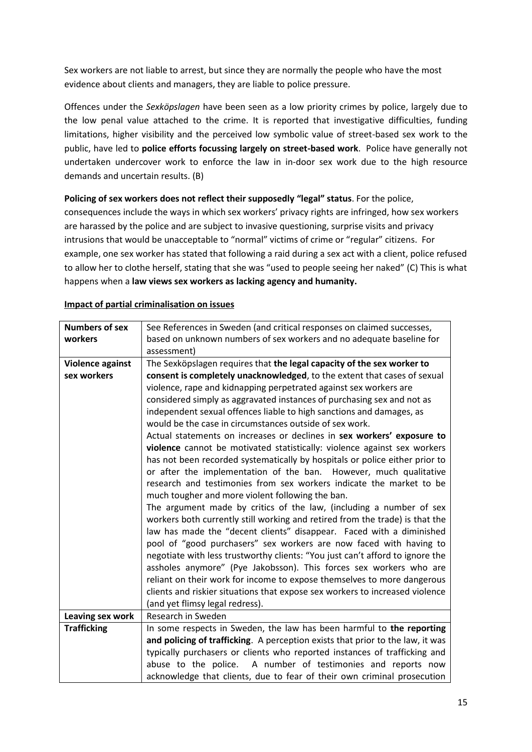Sex workers are not liable to arrest, but since they are normally the people who have the most evidence about clients and managers, they are liable to police pressure.

Offences under the *Sexköpslagen* have been seen as a low priority crimes by police, largely due to the low penal value attached to the crime. It is reported that investigative difficulties, funding limitations, higher visibility and the perceived low symbolic value of street-based sex work to the public, have led to **police efforts focussing largely on street-based work**. Police have generally not undertaken undercover work to enforce the law in in-door sex work due to the high resource demands and uncertain results. (B)

#### **Policing of sex workers does not reflect their supposedly "legal" status**. For the police,

consequences include the ways in which sex workers' privacy rights are infringed, how sex workers are harassed by the police and are subject to invasive questioning, surprise visits and privacy intrusions that would be unacceptable to "normal" victims of crime or "regular" citizens. For example, one sex worker has stated that following a raid during a sex act with a client, police refused to allow her to clothe herself, stating that she was "used to people seeing her naked" (C) This is what happens when a **law views sex workers as lacking agency and humanity.**

| <b>Numbers of sex</b> | See References in Sweden (and critical responses on claimed successes,         |
|-----------------------|--------------------------------------------------------------------------------|
| workers               | based on unknown numbers of sex workers and no adequate baseline for           |
|                       | assessment)                                                                    |
| Violence against      | The Sexköpslagen requires that the legal capacity of the sex worker to         |
| sex workers           | consent is completely unacknowledged, to the extent that cases of sexual       |
|                       | violence, rape and kidnapping perpetrated against sex workers are              |
|                       | considered simply as aggravated instances of purchasing sex and not as         |
|                       | independent sexual offences liable to high sanctions and damages, as           |
|                       | would be the case in circumstances outside of sex work.                        |
|                       | Actual statements on increases or declines in sex workers' exposure to         |
|                       | violence cannot be motivated statistically: violence against sex workers       |
|                       | has not been recorded systematically by hospitals or police either prior to    |
|                       | or after the implementation of the ban. However, much qualitative              |
|                       | research and testimonies from sex workers indicate the market to be            |
|                       | much tougher and more violent following the ban.                               |
|                       | The argument made by critics of the law, (including a number of sex            |
|                       | workers both currently still working and retired from the trade) is that the   |
|                       | law has made the "decent clients" disappear. Faced with a diminished           |
|                       | pool of "good purchasers" sex workers are now faced with having to             |
|                       | negotiate with less trustworthy clients: "You just can't afford to ignore the  |
|                       | assholes anymore" (Pye Jakobsson). This forces sex workers who are             |
|                       | reliant on their work for income to expose themselves to more dangerous        |
|                       | clients and riskier situations that expose sex workers to increased violence   |
|                       | (and yet flimsy legal redress).                                                |
| Leaving sex work      | Research in Sweden                                                             |
| <b>Trafficking</b>    | In some respects in Sweden, the law has been harmful to the reporting          |
|                       | and policing of trafficking. A perception exists that prior to the law, it was |
|                       | typically purchasers or clients who reported instances of trafficking and      |
|                       | abuse to the police. A number of testimonies and reports now                   |
|                       | acknowledge that clients, due to fear of their own criminal prosecution        |

#### **Impact of partial criminalisation on issues**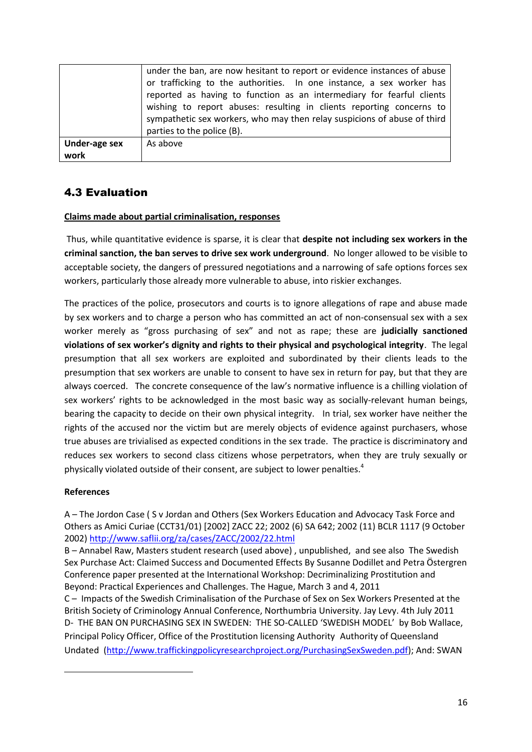|                       | under the ban, are now hesitant to report or evidence instances of abuse<br>or trafficking to the authorities. In one instance, a sex worker has<br>reported as having to function as an intermediary for fearful clients<br>wishing to report abuses: resulting in clients reporting concerns to<br>sympathetic sex workers, who may then relay suspicions of abuse of third<br>parties to the police (B). |
|-----------------------|-------------------------------------------------------------------------------------------------------------------------------------------------------------------------------------------------------------------------------------------------------------------------------------------------------------------------------------------------------------------------------------------------------------|
| Under-age sex<br>work | As above                                                                                                                                                                                                                                                                                                                                                                                                    |

## 4.3 Evaluation

#### **Claims made about partial criminalisation, responses**

Thus, while quantitative evidence is sparse, it is clear that **despite not including sex workers in the criminal sanction, the ban serves to drive sex work underground**. No longer allowed to be visible to acceptable society, the dangers of pressured negotiations and a narrowing of safe options forces sex workers, particularly those already more vulnerable to abuse, into riskier exchanges.

The practices of the police, prosecutors and courts is to ignore allegations of rape and abuse made by sex workers and to charge a person who has committed an act of non-consensual sex with a sex worker merely as "gross purchasing of sex" and not as rape; these are **judicially sanctioned violations of sex worker's dignity and rights to their physical and psychological integrity**. The legal presumption that all sex workers are exploited and subordinated by their clients leads to the presumption that sex workers are unable to consent to have sex in return for pay, but that they are always coerced. The concrete consequence of the law's normative influence is a chilling violation of sex workers' rights to be acknowledged in the most basic way as socially-relevant human beings, bearing the capacity to decide on their own physical integrity. In trial, sex worker have neither the rights of the accused nor the victim but are merely objects of evidence against purchasers, whose true abuses are trivialised as expected conditions in the sex trade. The practice is discriminatory and reduces sex workers to second class citizens whose perpetrators, when they are truly sexually or physically violated outside of their consent, are subject to lower penalties.<sup>4</sup>

#### **References**

**.** 

A – The Jordon Case ( S v Jordan and Others (Sex Workers Education and Advocacy Task Force and Others as Amici Curiae (CCT31/01) [2002] ZACC 22; 2002 (6) SA 642; 2002 (11) BCLR 1117 (9 October 2002)<http://www.saflii.org/za/cases/ZACC/2002/22.html>

B – Annabel Raw, Masters student research (used above) , unpublished, and see also The Swedish Sex Purchase Act: Claimed Success and Documented Effects By Susanne Dodillet and Petra Östergren Conference paper presented at the International Workshop: Decriminalizing Prostitution and Beyond: Practical Experiences and Challenges. The Hague, March 3 and 4, 2011

C – Impacts of the Swedish Criminalisation of the Purchase of Sex on Sex Workers Presented at the British Society of Criminology Annual Conference, Northumbria University. Jay Levy. 4th July 2011 D- THE BAN ON PURCHASING SEX IN SWEDEN: THE SO-CALLED 'SWEDISH MODEL' by Bob Wallace, Principal Policy Officer, Office of the Prostitution licensing Authority Authority of Queensland Undated [\(http://www.traffickingpolicyresearchproject.org/PurchasingSexSweden.pdf\)](http://www.traffickingpolicyresearchproject.org/PurchasingSexSweden.pdf); And: SWAN